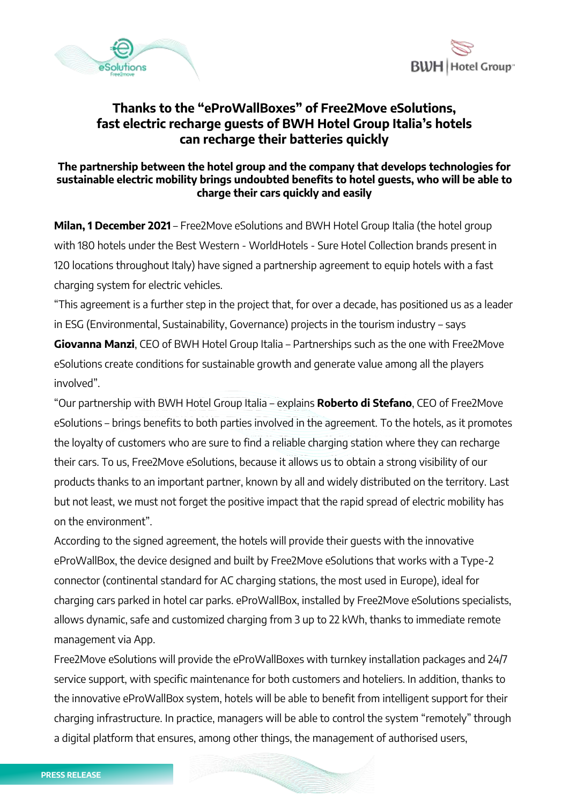



# **Thanks to the "eProWallBoxes" of Free2Move eSolutions, fast electric recharge guests of BWH Hotel Group Italia's hotels can recharge their batteries quickly**

## **The partnership between the hotel group and the company that develops technologies for sustainable electric mobility brings undoubted benefits to hotel guests, who will be able to charge their cars quickly and easily**

**Milan, 1 December 2021** – Free2Move eSolutions and BWH Hotel Group Italia (the hotel group with 180 hotels under the Best Western - WorldHotels - Sure Hotel Collection brands present in 120 locations throughout Italy) have signed a partnership agreement to equip hotels with a fast charging system for electric vehicles.

"This agreement is a further step in the project that, for over a decade, has positioned us as a leader in ESG (Environmental, Sustainability, Governance) projects in the tourism industry – says

**Giovanna Manzi**, CEO of BWH Hotel Group Italia – Partnerships such as the one with Free2Move eSolutions create conditions for sustainable growth and generate value among all the players involved".

"Our partnership with BWH Hotel Group Italia – explains **Roberto di Stefano**, CEO of Free2Move eSolutions – brings benefits to both parties involved in the agreement. To the hotels, as it promotes the loyalty of customers who are sure to find a reliable charging station where they can recharge their cars. To us, Free2Move eSolutions, because it allows us to obtain a strong visibility of our products thanks to an important partner, known by all and widely distributed on the territory. Last but not least, we must not forget the positive impact that the rapid spread of electric mobility has on the environment".

According to the signed agreement, the hotels will provide their guests with the innovative eProWallBox, the device designed and built by Free2Move eSolutions that works with a Type-2 connector (continental standard for AC charging stations, the most used in Europe), ideal for charging cars parked in hotel car parks. eProWallBox, installed by Free2Move eSolutions specialists, allows dynamic, safe and customized charging from 3 up to 22 kWh, thanks to immediate remote management via App.

Free2Move eSolutions will provide the eProWallBoxes with turnkey installation packages and 24/7 service support, with specific maintenance for both customers and hoteliers. In addition, thanks to the innovative eProWallBox system, hotels will be able to benefit from intelligent support for their charging infrastructure. In practice, managers will be able to control the system "remotely" through a digital platform that ensures, among other things, the management of authorised users,